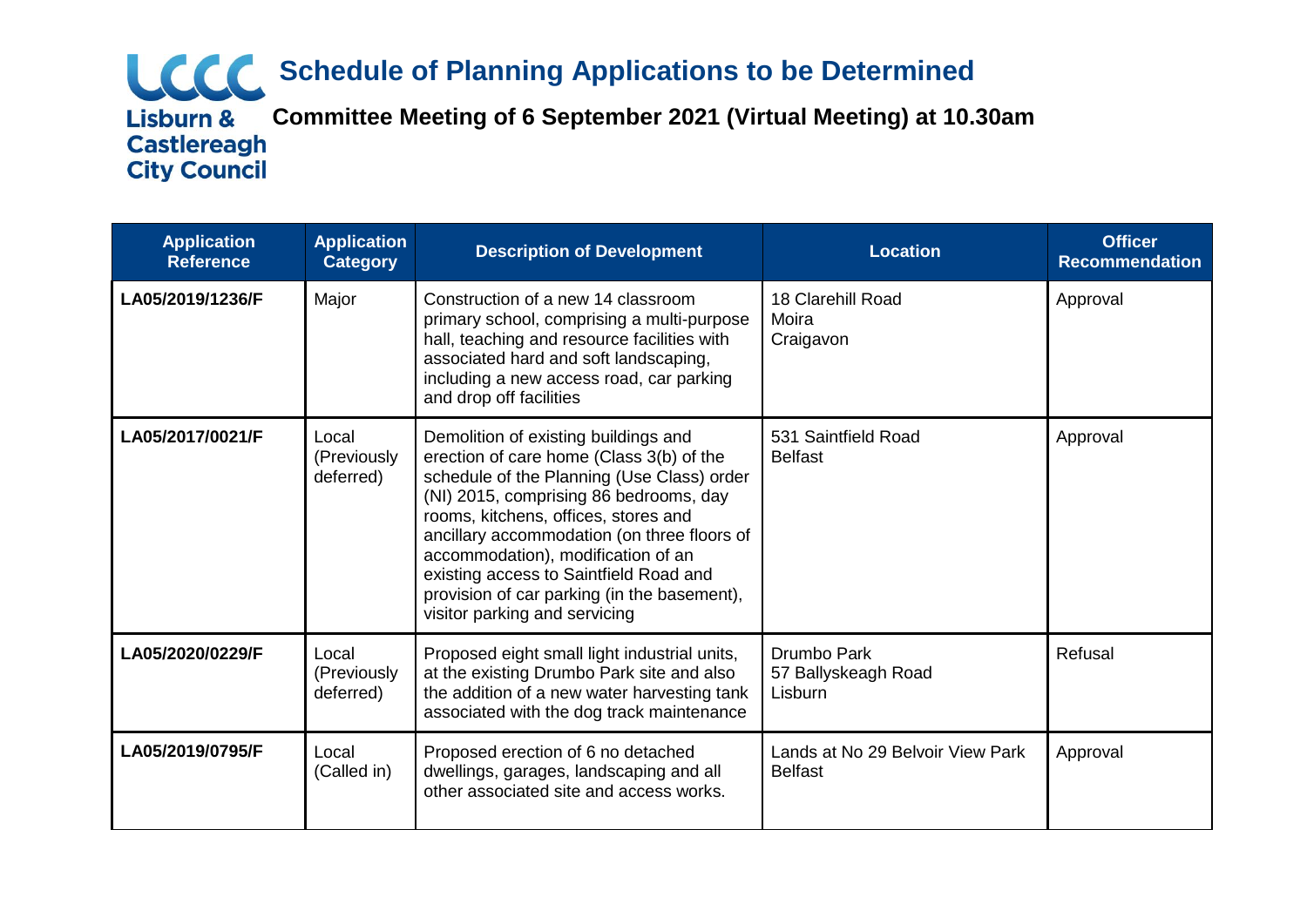# **Schedule of Planning Applications to be Determined**

**Plannificanal Committee Meeting of 6 September 2021 (Virtual Meeting) at 10.30am**<br>Castlereagh **City Council** 

| <b>Application</b><br><b>Reference</b> | <b>Application</b><br><b>Category</b> | <b>Description of Development</b>                                                                                                                                                                                                                                                                                                                                                                                               | <b>Location</b>                                    | <b>Officer</b><br><b>Recommendation</b> |
|----------------------------------------|---------------------------------------|---------------------------------------------------------------------------------------------------------------------------------------------------------------------------------------------------------------------------------------------------------------------------------------------------------------------------------------------------------------------------------------------------------------------------------|----------------------------------------------------|-----------------------------------------|
| LA05/2019/1236/F                       | Major                                 | Construction of a new 14 classroom<br>primary school, comprising a multi-purpose<br>hall, teaching and resource facilities with<br>associated hard and soft landscaping,<br>including a new access road, car parking<br>and drop off facilities                                                                                                                                                                                 | 18 Clarehill Road<br>Moira<br>Craigavon            | Approval                                |
| LA05/2017/0021/F                       | Local<br>(Previously<br>deferred)     | Demolition of existing buildings and<br>erection of care home (Class 3(b) of the<br>schedule of the Planning (Use Class) order<br>(NI) 2015, comprising 86 bedrooms, day<br>rooms, kitchens, offices, stores and<br>ancillary accommodation (on three floors of<br>accommodation), modification of an<br>existing access to Saintfield Road and<br>provision of car parking (in the basement),<br>visitor parking and servicing | 531 Saintfield Road<br><b>Belfast</b>              | Approval                                |
| LA05/2020/0229/F                       | Local<br>(Previously<br>deferred)     | Proposed eight small light industrial units,<br>at the existing Drumbo Park site and also<br>the addition of a new water harvesting tank<br>associated with the dog track maintenance                                                                                                                                                                                                                                           | Drumbo Park<br>57 Ballyskeagh Road<br>Lisburn      | Refusal                                 |
| LA05/2019/0795/F                       | Local<br>(Called in)                  | Proposed erection of 6 no detached<br>dwellings, garages, landscaping and all<br>other associated site and access works.                                                                                                                                                                                                                                                                                                        | Lands at No 29 Belvoir View Park<br><b>Belfast</b> | Approval                                |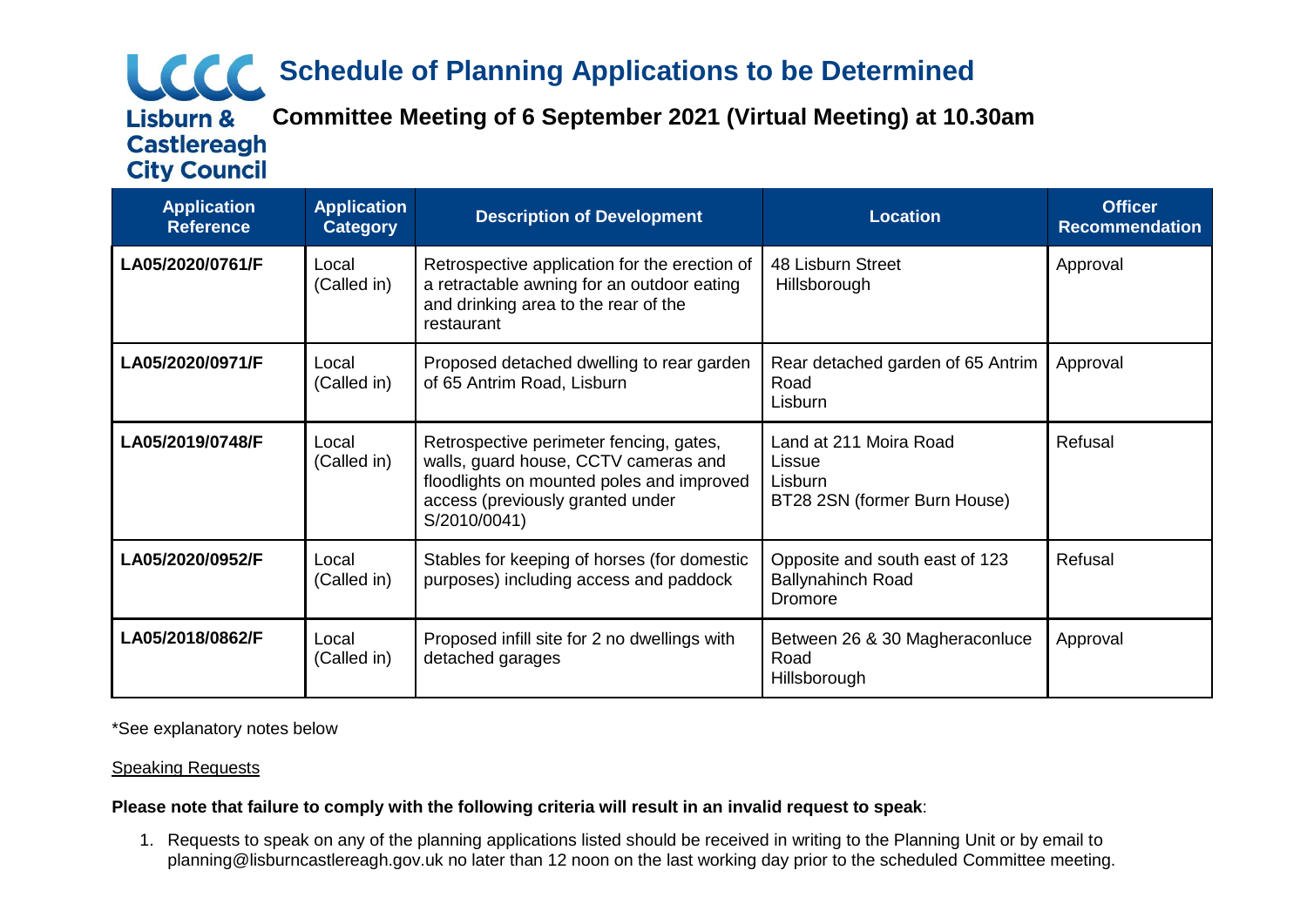## **Schedule of Planning Applications to be Determined**

**Plannificanal Committee Meeting of 6 September 2021 (Virtual Meeting) at 10.30am** 

**Castlereagh City Council** 

**Application Reference Application Category Description of Development Location Officer Recommendation LA05/2020/0761/F** Local (Called in) Retrospective application for the erection of a retractable awning for an outdoor eating and drinking area to the rear of the restaurant 48 Lisburn Street **Hillsborough** Approval **LA05/2020/0971/F** Local (Called in) Proposed detached dwelling to rear garden of 65 Antrim Road, Lisburn Rear detached garden of 65 Antrim Road Lisburn Approval **LA05/2019/0748/F** Local (Called in) Retrospective perimeter fencing, gates, walls, guard house, CCTV cameras and floodlights on mounted poles and improved access (previously granted under S/2010/0041) Land at 211 Moira Road Lissue Lisburn BT28 2SN (former Burn House) Refusal **LA05/2020/0952/F** Local (Called in) Stables for keeping of horses (for domestic purposes) including access and paddock Opposite and south east of 123 Ballynahinch Road Dromore Refusal **LA05/2018/0862/F** Local (Called in) Proposed infill site for 2 no dwellings with detached garages Between 26 & 30 Magheraconluce Road Hillsborough Approval

\*See explanatory notes below

### Speaking Requests

### **Please note that failure to comply with the following criteria will result in an invalid request to speak**:

1. Requests to speak on any of the planning applications listed should be received in writing to the Planning Unit or by email to planning@lisburncastlereagh.gov.uk no later than 12 noon on the last working day prior to the scheduled Committee meeting.